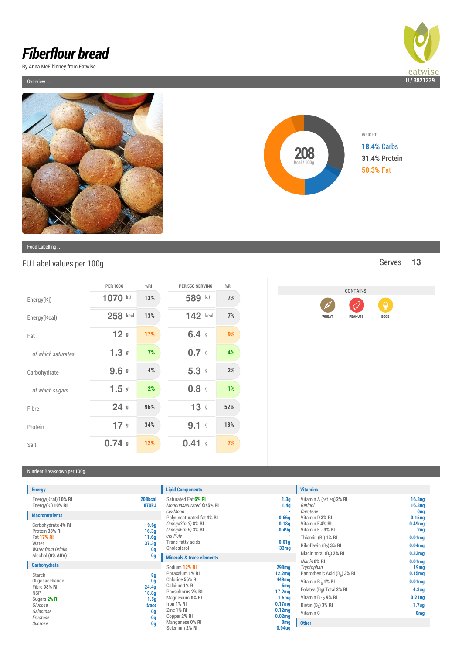## *Fiberflour bread*

By Anna McElhinney from Eatwise

Overview ...





Food Labelling...

## EU Label values per 100g and the serves **13** Serves **13**

|                    | <b>PER 100G</b>       | %RI | PER 55G SERVING       | %RI |
|--------------------|-----------------------|-----|-----------------------|-----|
| Energy(Kj)         | 1070 kJ               | 13% | 589 kJ                | 7%  |
| Energy(Kcal)       | 258 kcal              | 13% | 142 kcal              | 7%  |
| Fat                | 12 <sub>9</sub>       | 17% | 6.49                  | 9%  |
| of which saturates | 1.3g                  | 7%  | 0.79                  | 4%  |
| Carbohydrate       | 9.69                  | 4%  | 5.39                  | 2%  |
| of which sugars    | 1.5g                  | 2%  | 0.8                   | 1%  |
| Fibre              | 24 <sub>9</sub>       | 96% | 13 <sup>9</sup>       | 52% |
| Protein            | 17 <sub>g</sub>       | 34% | 9.1<br>$\mathfrak{g}$ | 18% |
| Salt               | 0.74<br>$\mathfrak g$ | 12% | 0.41<br>$\mathbf g$   | 7%  |



## Nutrient Breakdown per 100g...

| <b>Energy</b>                                                                                                          |                                                               |
|------------------------------------------------------------------------------------------------------------------------|---------------------------------------------------------------|
| Energy (Kcal) 10% RI<br>Energy(Kj) 10% RI                                                                              | 208kcal<br>870kJ                                              |
| <b>Macronutrients</b>                                                                                                  |                                                               |
| Carbohydrate 4% RI<br>Protein 33% RI<br><b>Fat 17% RI</b><br>Water<br><b>Water from Drinks</b><br>Alcohol (0% ABV)     | 9.6g<br>16.3q<br>11.6q<br>37.3q<br>0q<br>0q                   |
| <b>Carbohydrate</b>                                                                                                    |                                                               |
| Starch<br>Oligosaccharide<br>Fibre 98% RI<br><b>NSP</b><br>Sugars 2% RI<br>Glucose<br>Galactose<br>Fructose<br>Sucrose | 8q<br>0q<br>24.4g<br>18.8q<br>1.5q<br>trace<br>0g<br>0q<br>0g |

| <b>Lipid Components</b>                                                                                                                                                                             |
|-----------------------------------------------------------------------------------------------------------------------------------------------------------------------------------------------------|
| Saturated Fat 6% RI<br>Monounsaturated fat 5% RI<br>cis-Mono<br>Polyunsaturated fat 4% RI<br>$Omega3(n-3)$ 8% RI<br>Omega6(n-6) 3% RI<br>cis-Polv<br>Trans-fatty acids<br>Cholesterol               |
| <b>Minerals &amp; trace elements</b>                                                                                                                                                                |
| Sodium 12% RI<br>Potassium 1% RI<br>Chloride 56% RI<br>Calcium 1% RI<br>Phosphorus 2% RI<br>Magnesium 0% RI<br>Iron 1% RI<br><b>7inc 1% RI</b><br>Copper 2% RI<br>Manganese 0% RI<br>Selenium 2% RI |

|                                                                                                                                       | <b>Vitamins</b>                                                                                                                                                  |                                                                                                                      |
|---------------------------------------------------------------------------------------------------------------------------------------|------------------------------------------------------------------------------------------------------------------------------------------------------------------|----------------------------------------------------------------------------------------------------------------------|
| 1.3 <sub>q</sub><br>1.4 <sub>q</sub><br>0.66q<br>0.18q<br>0.49q<br>0.01q<br>33mg                                                      | Vitamin A (ret eq) 2% RI<br>Retinol<br>Carotene<br>Vitamin D 3% RI<br>Vitamin E4% RI<br>Vitamin $K_1$ 3% RI<br>Thiamin $(B_1)$ 1% RI<br>Riboflavin $(B_2)$ 3% RI | 16.3ug<br>16.3ug<br><b>Oug</b><br>$0.15$ uq<br>0.49 <sub>mq</sub><br>2ug<br>0.01 <sub>mg</sub><br>0.04 <sub>mq</sub> |
|                                                                                                                                       | Niacin total $(B_2)$ 2% RI                                                                                                                                       | 0.33 <sub>mq</sub>                                                                                                   |
| <b>298mg</b><br>12.2 <sub>mg</sub>                                                                                                    | Niacin 0% RI<br>Tryptophan<br>Pantothenic Acid $(B_5)$ 3% RI                                                                                                     | 0.01 <sub>mg</sub><br>19 <sub>mg</sub><br>0.15 <sub>mq</sub>                                                         |
| 449mg<br>5 <sub>mq</sub><br>17.2 <sub>mq</sub><br>1.6 <sub>mg</sub><br>0.17 <sub>mg</sub><br>0.12 <sub>mq</sub><br>0.02 <sub>mg</sub> | Vitamin B <sub>6</sub> 1% RI<br>Folates $(BQ)$ Total 2% RI<br>Vitamin B $_{12}$ 9% RI<br>Biotin $(B_7)$ 3% RI<br>Vitamin <sub>C</sub>                            | 0.01 <sub>mg</sub><br>4.3 <sub>uq</sub><br>$0.21$ uq<br>1.7 <sub>uq</sub><br><b>Omg</b>                              |
| <b>Omg</b><br>0.94 <sub>uq</sub>                                                                                                      | <b>Other</b>                                                                                                                                                     |                                                                                                                      |
|                                                                                                                                       |                                                                                                                                                                  |                                                                                                                      |

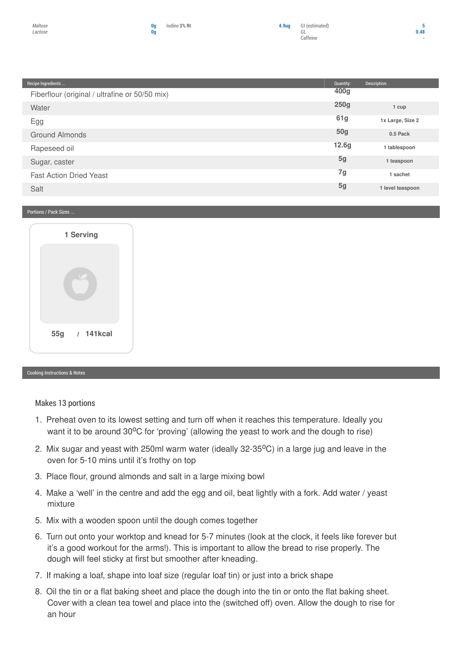F



| Recipe Ingredients                             | Quantity:        | Description:     |
|------------------------------------------------|------------------|------------------|
| Fiberflour (original / ultrafine or 50/50 mix) | 400 <sub>g</sub> |                  |
| Water                                          | 250g             | 1 cup            |
| Egg                                            | 61g              | 1x Large, Size 2 |
| Ground Almonds                                 | <b>50g</b>       | 0.5 Pack         |
| Rapeseed oil                                   | 12.6g            | 1 tablespoon     |
| Sugar, caster                                  | 5 <sub>g</sub>   | 1 teaspoon       |
| <b>Fast Action Dried Yeast</b>                 | 7g               | 1 sachet         |
| Salt                                           | 5 <sub>g</sub>   | 1 level teaspoon |

## Portions / Pack Sizes ...



Cooking Instructions & Notes

Makes 13 portions

- 1. Preheat oven to its lowest setting and turn off when it reaches this temperature. Ideally you want it to be around 30°C for 'proving' (allowing the yeast to work and the dough to rise)
- 2. Mix sugar and yeast with 250ml warm water (ideally 32-35<sup>o</sup>C) in a large jug and leave in the oven for 5-10 mins until it's frothy on top
- 3. Place flour, ground almonds and salt in a large mixing bowl
- 4. Make a 'well' in the centre and add the egg and oil, beat lightly with a fork. Add water / yeast mixture
- 5. Mix with a wooden spoon until the dough comes together
- 6. Turn out onto your worktop and knead for 5-7 minutes (look at the clock, it feels like forever but it's a good workout for the arms!). This is important to allow the bread to rise properly. The dough will feel sticky at first but smoother after kneading.
- 7. If making a loaf, shape into loaf size (regular loaf tin) or just into a brick shape
- 8. Oil the tin or a flat baking sheet and place the dough into the tin or onto the flat baking sheet. Cover with a clean tea towel and place into the (switched off) oven. Allow the dough to rise for an hour